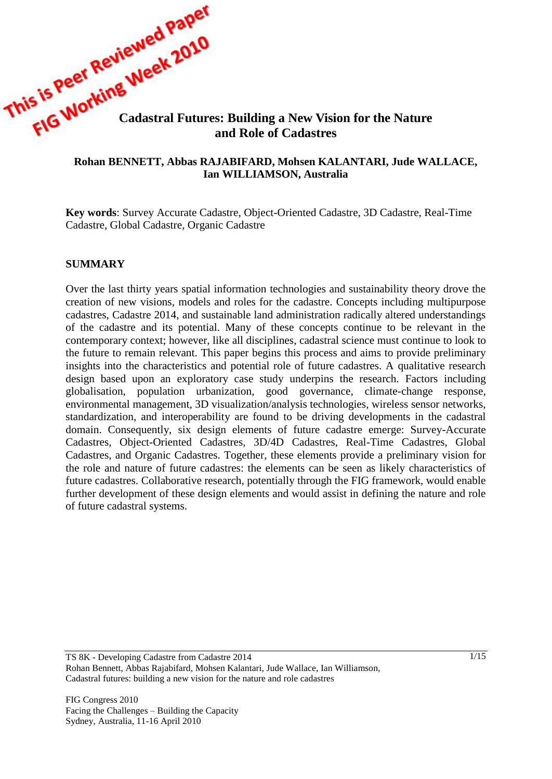

#### **Rohan BENNETT, Abbas RAJABIFARD, Mohsen KALANTARI, Jude WALLACE, Ian WILLIAMSON, Australia**

**Key words**: Survey Accurate Cadastre, Object-Oriented Cadastre, 3D Cadastre, Real-Time Cadastre, Global Cadastre, Organic Cadastre

#### **SUMMARY**

Over the last thirty years spatial information technologies and sustainability theory drove the creation of new visions, models and roles for the cadastre. Concepts including multipurpose cadastres, Cadastre 2014, and sustainable land administration radically altered understandings of the cadastre and its potential. Many of these concepts continue to be relevant in the contemporary context; however, like all disciplines, cadastral science must continue to look to the future to remain relevant. This paper begins this process and aims to provide preliminary insights into the characteristics and potential role of future cadastres. A qualitative research design based upon an exploratory case study underpins the research. Factors including globalisation, population urbanization, good governance, climate-change response, environmental management, 3D visualization/analysis technologies, wireless sensor networks, standardization, and interoperability are found to be driving developments in the cadastral domain. Consequently, six design elements of future cadastre emerge: Survey-Accurate Cadastres, Object-Oriented Cadastres, 3D/4D Cadastres, Real-Time Cadastres, Global Cadastres, and Organic Cadastres. Together, these elements provide a preliminary vision for the role and nature of future cadastres: the elements can be seen as likely characteristics of future cadastres. Collaborative research, potentially through the FIG framework, would enable further development of these design elements and would assist in defining the nature and role of future cadastral systems.

TS 8K - Developing Cadastre from Cadastre 2014 Rohan Bennett, Abbas Rajabifard, Mohsen Kalantari, Jude Wallace, Ian Williamson, Cadastral futures: building a new vision for the nature and role cadastres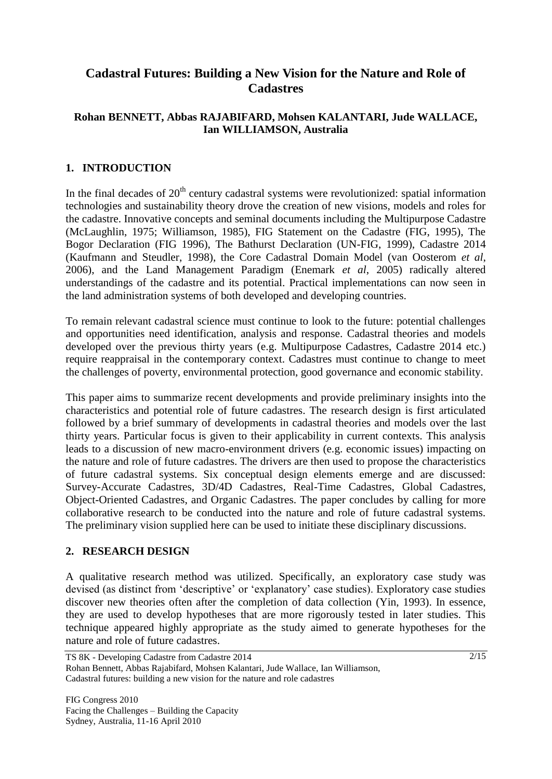# **Cadastral Futures: Building a New Vision for the Nature and Role of Cadastres**

## **Rohan BENNETT, Abbas RAJABIFARD, Mohsen KALANTARI, Jude WALLACE, Ian WILLIAMSON, Australia**

# **1. INTRODUCTION**

In the final decades of  $20<sup>th</sup>$  century cadastral systems were revolutionized: spatial information technologies and sustainability theory drove the creation of new visions, models and roles for the cadastre. Innovative concepts and seminal documents including the Multipurpose Cadastre (McLaughlin, 1975; Williamson, 1985), FIG Statement on the Cadastre (FIG, 1995), The Bogor Declaration (FIG 1996), The Bathurst Declaration (UN-FIG, 1999), Cadastre 2014 (Kaufmann and Steudler, 1998), the Core Cadastral Domain Model (van Oosterom *et al*, 2006), and the Land Management Paradigm (Enemark *et al*, 2005) radically altered understandings of the cadastre and its potential. Practical implementations can now seen in the land administration systems of both developed and developing countries.

To remain relevant cadastral science must continue to look to the future: potential challenges and opportunities need identification, analysis and response. Cadastral theories and models developed over the previous thirty years (e.g. Multipurpose Cadastres, Cadastre 2014 etc.) require reappraisal in the contemporary context. Cadastres must continue to change to meet the challenges of poverty, environmental protection, good governance and economic stability.

This paper aims to summarize recent developments and provide preliminary insights into the characteristics and potential role of future cadastres. The research design is first articulated followed by a brief summary of developments in cadastral theories and models over the last thirty years. Particular focus is given to their applicability in current contexts. This analysis leads to a discussion of new macro-environment drivers (e.g. economic issues) impacting on the nature and role of future cadastres. The drivers are then used to propose the characteristics of future cadastral systems. Six conceptual design elements emerge and are discussed: Survey-Accurate Cadastres, 3D/4D Cadastres, Real-Time Cadastres, Global Cadastres, Object-Oriented Cadastres, and Organic Cadastres. The paper concludes by calling for more collaborative research to be conducted into the nature and role of future cadastral systems. The preliminary vision supplied here can be used to initiate these disciplinary discussions.

## **2. RESEARCH DESIGN**

A qualitative research method was utilized. Specifically, an exploratory case study was devised (as distinct from 'descriptive' or 'explanatory' case studies). Exploratory case studies discover new theories often after the completion of data collection (Yin, 1993). In essence, they are used to develop hypotheses that are more rigorously tested in later studies. This technique appeared highly appropriate as the study aimed to generate hypotheses for the nature and role of future cadastres.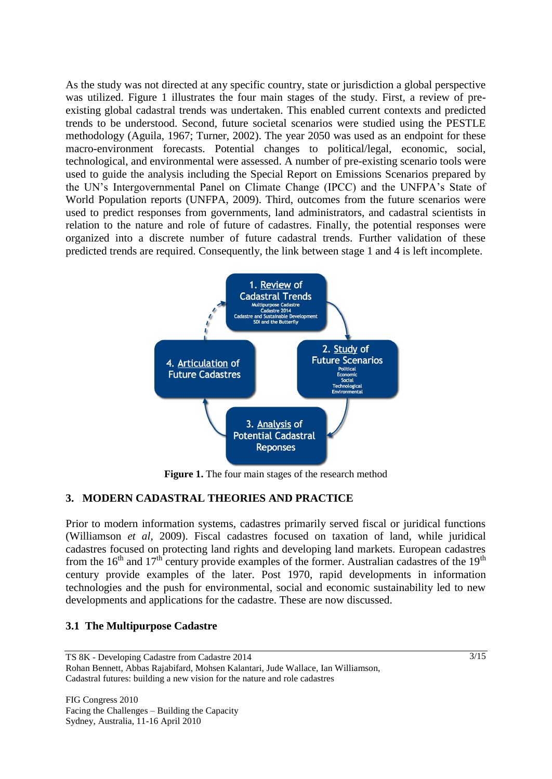As the study was not directed at any specific country, state or jurisdiction a global perspective was utilized. Figure 1 illustrates the four main stages of the study. First, a review of preexisting global cadastral trends was undertaken. This enabled current contexts and predicted trends to be understood. Second, future societal scenarios were studied using the PESTLE methodology (Aguila, 1967; Turner, 2002). The year 2050 was used as an endpoint for these macro-environment forecasts. Potential changes to political/legal, economic, social, technological, and environmental were assessed. A number of pre-existing scenario tools were used to guide the analysis including the Special Report on Emissions Scenarios prepared by the UN's Intergovernmental Panel on Climate Change (IPCC) and the UNFPA's State of World Population reports (UNFPA, 2009). Third, outcomes from the future scenarios were used to predict responses from governments, land administrators, and cadastral scientists in relation to the nature and role of future of cadastres. Finally, the potential responses were organized into a discrete number of future cadastral trends. Further validation of these predicted trends are required. Consequently, the link between stage 1 and 4 is left incomplete.



**Figure 1.** The four main stages of the research method

# **3. MODERN CADASTRAL THEORIES AND PRACTICE**

Prior to modern information systems, cadastres primarily served fiscal or juridical functions (Williamson *et al*, 2009). Fiscal cadastres focused on taxation of land, while juridical cadastres focused on protecting land rights and developing land markets. European cadastres from the 16<sup>th</sup> and 17<sup>th</sup> century provide examples of the former. Australian cadastres of the 19<sup>th</sup> century provide examples of the later. Post 1970, rapid developments in information technologies and the push for environmental, social and economic sustainability led to new developments and applications for the cadastre. These are now discussed.

## **3.1 The Multipurpose Cadastre**

TS 8K - Developing Cadastre from Cadastre 2014 Rohan Bennett, Abbas Rajabifard, Mohsen Kalantari, Jude Wallace, Ian Williamson, Cadastral futures: building a new vision for the nature and role cadastres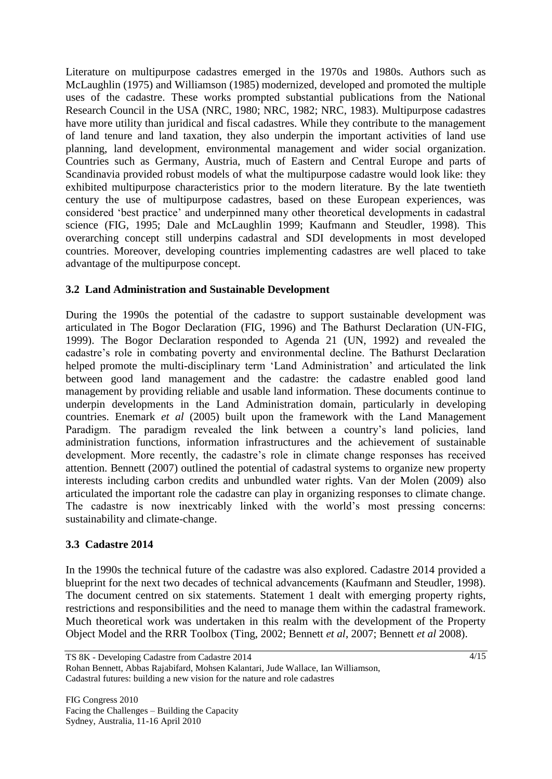Literature on multipurpose cadastres emerged in the 1970s and 1980s. Authors such as McLaughlin (1975) and Williamson (1985) modernized, developed and promoted the multiple uses of the cadastre. These works prompted substantial publications from the National Research Council in the USA (NRC, 1980; NRC, 1982; NRC, 1983). Multipurpose cadastres have more utility than juridical and fiscal cadastres. While they contribute to the management of land tenure and land taxation, they also underpin the important activities of land use planning, land development, environmental management and wider social organization. Countries such as Germany, Austria, much of Eastern and Central Europe and parts of Scandinavia provided robust models of what the multipurpose cadastre would look like: they exhibited multipurpose characteristics prior to the modern literature. By the late twentieth century the use of multipurpose cadastres, based on these European experiences, was considered 'best practice' and underpinned many other theoretical developments in cadastral science (FIG, 1995; Dale and McLaughlin 1999; Kaufmann and Steudler, 1998). This overarching concept still underpins cadastral and SDI developments in most developed countries. Moreover, developing countries implementing cadastres are well placed to take advantage of the multipurpose concept.

# **3.2 Land Administration and Sustainable Development**

During the 1990s the potential of the cadastre to support sustainable development was articulated in The Bogor Declaration (FIG, 1996) and The Bathurst Declaration (UN-FIG, 1999). The Bogor Declaration responded to Agenda 21 (UN, 1992) and revealed the cadastre's role in combating poverty and environmental decline. The Bathurst Declaration helped promote the multi-disciplinary term 'Land Administration' and articulated the link between good land management and the cadastre: the cadastre enabled good land management by providing reliable and usable land information. These documents continue to underpin developments in the Land Administration domain, particularly in developing countries. Enemark *et al* (2005) built upon the framework with the Land Management Paradigm. The paradigm revealed the link between a country's land policies, land administration functions, information infrastructures and the achievement of sustainable development. More recently, the cadastre's role in climate change responses has received attention. Bennett (2007) outlined the potential of cadastral systems to organize new property interests including carbon credits and unbundled water rights. Van der Molen (2009) also articulated the important role the cadastre can play in organizing responses to climate change. The cadastre is now inextricably linked with the world's most pressing concerns: sustainability and climate-change.

## **3.3 Cadastre 2014**

In the 1990s the technical future of the cadastre was also explored. Cadastre 2014 provided a blueprint for the next two decades of technical advancements (Kaufmann and Steudler, 1998). The document centred on six statements. Statement 1 dealt with emerging property rights, restrictions and responsibilities and the need to manage them within the cadastral framework. Much theoretical work was undertaken in this realm with the development of the Property Object Model and the RRR Toolbox (Ting, 2002; Bennett *et al*, 2007; Bennett *et al* 2008).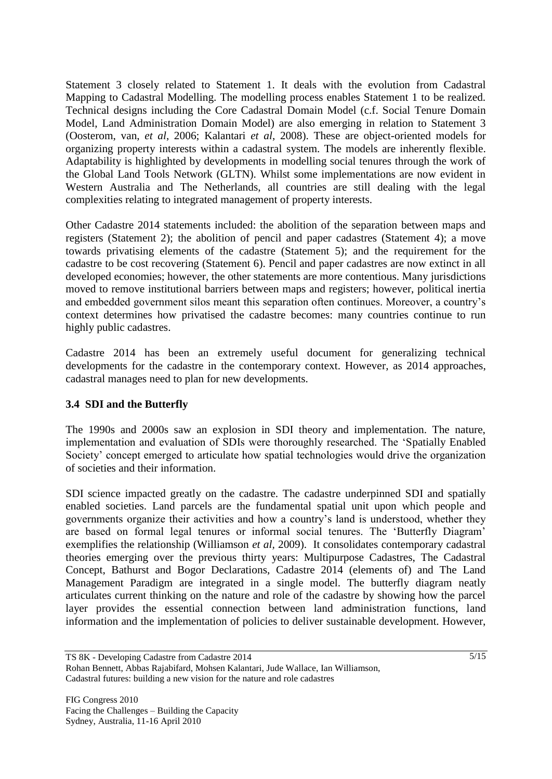Statement 3 closely related to Statement 1. It deals with the evolution from Cadastral Mapping to Cadastral Modelling. The modelling process enables Statement 1 to be realized. Technical designs including the Core Cadastral Domain Model (c.f. Social Tenure Domain Model, Land Administration Domain Model) are also emerging in relation to Statement 3 (Oosterom, van, *et al*, 2006; Kalantari *et al*, 2008). These are object-oriented models for organizing property interests within a cadastral system. The models are inherently flexible. Adaptability is highlighted by developments in modelling social tenures through the work of the Global Land Tools Network (GLTN). Whilst some implementations are now evident in Western Australia and The Netherlands, all countries are still dealing with the legal complexities relating to integrated management of property interests.

Other Cadastre 2014 statements included: the abolition of the separation between maps and registers (Statement 2); the abolition of pencil and paper cadastres (Statement 4); a move towards privatising elements of the cadastre (Statement 5); and the requirement for the cadastre to be cost recovering (Statement 6). Pencil and paper cadastres are now extinct in all developed economies; however, the other statements are more contentious. Many jurisdictions moved to remove institutional barriers between maps and registers; however, political inertia and embedded government silos meant this separation often continues. Moreover, a country's context determines how privatised the cadastre becomes: many countries continue to run highly public cadastres.

Cadastre 2014 has been an extremely useful document for generalizing technical developments for the cadastre in the contemporary context. However, as 2014 approaches, cadastral manages need to plan for new developments.

## **3.4 SDI and the Butterfly**

The 1990s and 2000s saw an explosion in SDI theory and implementation. The nature, implementation and evaluation of SDIs were thoroughly researched. The 'Spatially Enabled Society' concept emerged to articulate how spatial technologies would drive the organization of societies and their information.

SDI science impacted greatly on the cadastre. The cadastre underpinned SDI and spatially enabled societies. Land parcels are the fundamental spatial unit upon which people and governments organize their activities and how a country's land is understood, whether they are based on formal legal tenures or informal social tenures. The 'Butterfly Diagram' exemplifies the relationship (Williamson *et al,* 2009). It consolidates contemporary cadastral theories emerging over the previous thirty years: Multipurpose Cadastres, The Cadastral Concept, Bathurst and Bogor Declarations, Cadastre 2014 (elements of) and The Land Management Paradigm are integrated in a single model. The butterfly diagram neatly articulates current thinking on the nature and role of the cadastre by showing how the parcel layer provides the essential connection between land administration functions, land information and the implementation of policies to deliver sustainable development. However,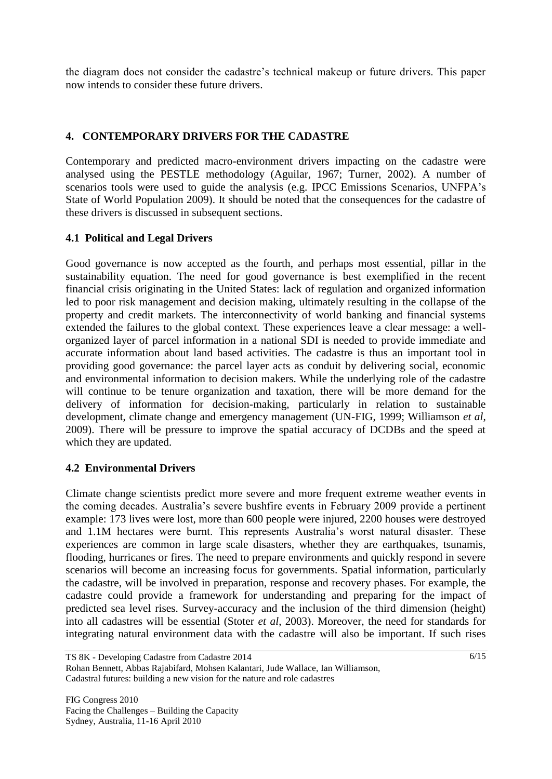the diagram does not consider the cadastre's technical makeup or future drivers. This paper now intends to consider these future drivers.

# **4. CONTEMPORARY DRIVERS FOR THE CADASTRE**

Contemporary and predicted macro-environment drivers impacting on the cadastre were analysed using the PESTLE methodology (Aguilar, 1967; Turner, 2002). A number of scenarios tools were used to guide the analysis (e.g. IPCC Emissions Scenarios, UNFPA's State of World Population 2009). It should be noted that the consequences for the cadastre of these drivers is discussed in subsequent sections.

# **4.1 Political and Legal Drivers**

Good governance is now accepted as the fourth, and perhaps most essential, pillar in the sustainability equation. The need for good governance is best exemplified in the recent financial crisis originating in the United States: lack of regulation and organized information led to poor risk management and decision making, ultimately resulting in the collapse of the property and credit markets. The interconnectivity of world banking and financial systems extended the failures to the global context. These experiences leave a clear message: a wellorganized layer of parcel information in a national SDI is needed to provide immediate and accurate information about land based activities. The cadastre is thus an important tool in providing good governance: the parcel layer acts as conduit by delivering social, economic and environmental information to decision makers. While the underlying role of the cadastre will continue to be tenure organization and taxation, there will be more demand for the delivery of information for decision-making, particularly in relation to sustainable development, climate change and emergency management (UN-FIG, 1999; Williamson *et al*, 2009). There will be pressure to improve the spatial accuracy of DCDBs and the speed at which they are updated.

## **4.2 Environmental Drivers**

Climate change scientists predict more severe and more frequent extreme weather events in the coming decades. Australia's severe bushfire events in February 2009 provide a pertinent example: 173 lives were lost, more than 600 people were injured, 2200 houses were destroyed and 1.1M hectares were burnt. This represents Australia's worst natural disaster. These experiences are common in large scale disasters, whether they are earthquakes, tsunamis, flooding, hurricanes or fires. The need to prepare environments and quickly respond in severe scenarios will become an increasing focus for governments. Spatial information, particularly the cadastre, will be involved in preparation, response and recovery phases. For example, the cadastre could provide a framework for understanding and preparing for the impact of predicted sea level rises. Survey-accuracy and the inclusion of the third dimension (height) into all cadastres will be essential (Stoter *et al*, 2003). Moreover, the need for standards for integrating natural environment data with the cadastre will also be important. If such rises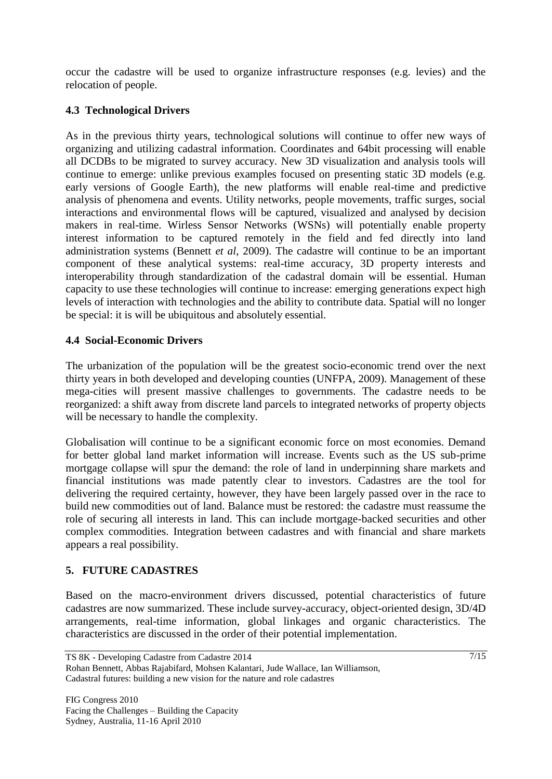occur the cadastre will be used to organize infrastructure responses (e.g. levies) and the relocation of people.

# **4.3 Technological Drivers**

As in the previous thirty years, technological solutions will continue to offer new ways of organizing and utilizing cadastral information. Coordinates and 64bit processing will enable all DCDBs to be migrated to survey accuracy. New 3D visualization and analysis tools will continue to emerge: unlike previous examples focused on presenting static 3D models (e.g. early versions of Google Earth), the new platforms will enable real-time and predictive analysis of phenomena and events. Utility networks, people movements, traffic surges, social interactions and environmental flows will be captured, visualized and analysed by decision makers in real-time. Wirless Sensor Networks (WSNs) will potentially enable property interest information to be captured remotely in the field and fed directly into land administration systems (Bennett *et al*, 2009). The cadastre will continue to be an important component of these analytical systems: real-time accuracy, 3D property interests and interoperability through standardization of the cadastral domain will be essential. Human capacity to use these technologies will continue to increase: emerging generations expect high levels of interaction with technologies and the ability to contribute data. Spatial will no longer be special: it is will be ubiquitous and absolutely essential.

# **4.4 Social-Economic Drivers**

The urbanization of the population will be the greatest socio-economic trend over the next thirty years in both developed and developing counties (UNFPA, 2009). Management of these mega-cities will present massive challenges to governments. The cadastre needs to be reorganized: a shift away from discrete land parcels to integrated networks of property objects will be necessary to handle the complexity.

Globalisation will continue to be a significant economic force on most economies. Demand for better global land market information will increase. Events such as the US sub-prime mortgage collapse will spur the demand: the role of land in underpinning share markets and financial institutions was made patently clear to investors. Cadastres are the tool for delivering the required certainty, however, they have been largely passed over in the race to build new commodities out of land. Balance must be restored: the cadastre must reassume the role of securing all interests in land. This can include mortgage-backed securities and other complex commodities. Integration between cadastres and with financial and share markets appears a real possibility.

# **5. FUTURE CADASTRES**

Based on the macro-environment drivers discussed, potential characteristics of future cadastres are now summarized. These include survey-accuracy, object-oriented design, 3D/4D arrangements, real-time information, global linkages and organic characteristics. The characteristics are discussed in the order of their potential implementation.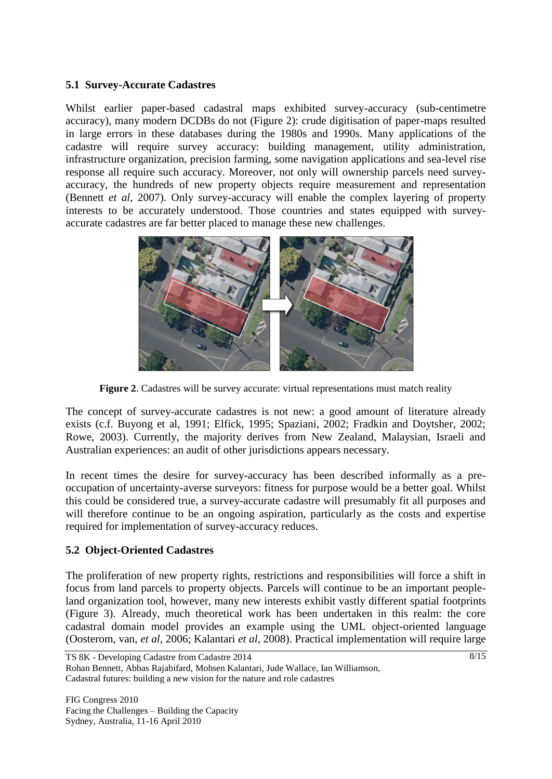#### **5.1 Survey-Accurate Cadastres**

Whilst earlier paper-based cadastral maps exhibited survey-accuracy (sub-centimetre accuracy), many modern DCDBs do not (Figure 2): crude digitisation of paper-maps resulted in large errors in these databases during the 1980s and 1990s. Many applications of the cadastre will require survey accuracy: building management, utility administration, infrastructure organization, precision farming, some navigation applications and sea-level rise response all require such accuracy. Moreover, not only will ownership parcels need surveyaccuracy, the hundreds of new property objects require measurement and representation (Bennett *et al*, 2007). Only survey-accuracy will enable the complex layering of property interests to be accurately understood. Those countries and states equipped with surveyaccurate cadastres are far better placed to manage these new challenges.



**Figure 2**. Cadastres will be survey accurate: virtual representations must match reality

The concept of survey-accurate cadastres is not new: a good amount of literature already exists (c.f. Buyong et al, 1991; Elfick, 1995; Spaziani, 2002; Fradkin and Doytsher, 2002; Rowe, 2003). Currently, the majority derives from New Zealand, Malaysian, Israeli and Australian experiences: an audit of other jurisdictions appears necessary.

In recent times the desire for survey-accuracy has been described informally as a preoccupation of uncertainty-averse surveyors: fitness for purpose would be a better goal. Whilst this could be considered true, a survey-accurate cadastre will presumably fit all purposes and will therefore continue to be an ongoing aspiration, particularly as the costs and expertise required for implementation of survey-accuracy reduces.

# **5.2 Object-Oriented Cadastres**

The proliferation of new property rights, restrictions and responsibilities will force a shift in focus from land parcels to property objects. Parcels will continue to be an important peopleland organization tool, however, many new interests exhibit vastly different spatial footprints (Figure 3). Already, much theoretical work has been undertaken in this realm: the core cadastral domain model provides an example using the UML object-oriented language (Oosterom, van, *et al*, 2006; Kalantari *et al*, 2008). Practical implementation will require large

```
TS 8K - Developing Cadastre from Cadastre 2014
Rohan Bennett, Abbas Rajabifard, Mohsen Kalantari, Jude Wallace, Ian Williamson,
Cadastral futures: building a new vision for the nature and role cadastres
```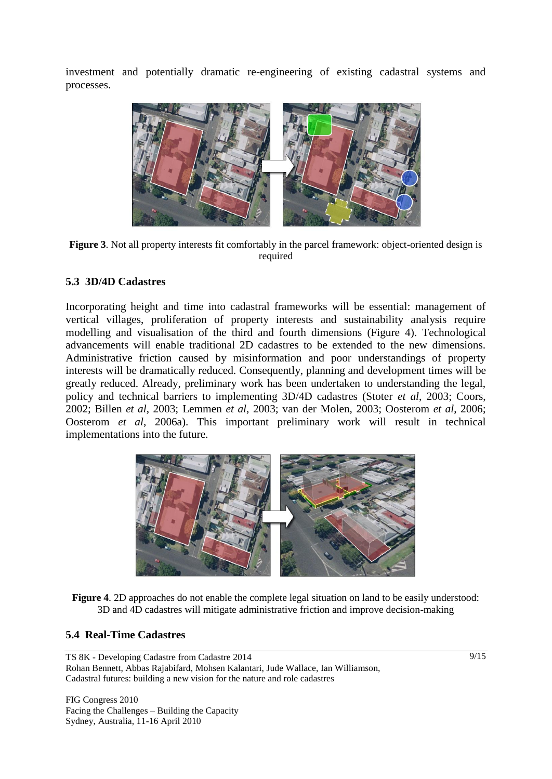investment and potentially dramatic re-engineering of existing cadastral systems and processes.



**Figure 3**. Not all property interests fit comfortably in the parcel framework: object-oriented design is required

## **5.3 3D/4D Cadastres**

Incorporating height and time into cadastral frameworks will be essential: management of vertical villages, proliferation of property interests and sustainability analysis require modelling and visualisation of the third and fourth dimensions (Figure 4). Technological advancements will enable traditional 2D cadastres to be extended to the new dimensions. Administrative friction caused by misinformation and poor understandings of property interests will be dramatically reduced. Consequently, planning and development times will be greatly reduced. Already, preliminary work has been undertaken to understanding the legal, policy and technical barriers to implementing 3D/4D cadastres (Stoter *et al*, 2003; Coors, 2002; Billen *et al*, 2003; Lemmen *et al*, 2003; van der Molen, 2003; Oosterom *et al*, 2006; Oosterom *et al*, 2006a). This important preliminary work will result in technical implementations into the future.



**Figure 4**. 2D approaches do not enable the complete legal situation on land to be easily understood: 3D and 4D cadastres will mitigate administrative friction and improve decision-making

#### **5.4 Real-Time Cadastres**

TS 8K - Developing Cadastre from Cadastre 2014 Rohan Bennett, Abbas Rajabifard, Mohsen Kalantari, Jude Wallace, Ian Williamson, Cadastral futures: building a new vision for the nature and role cadastres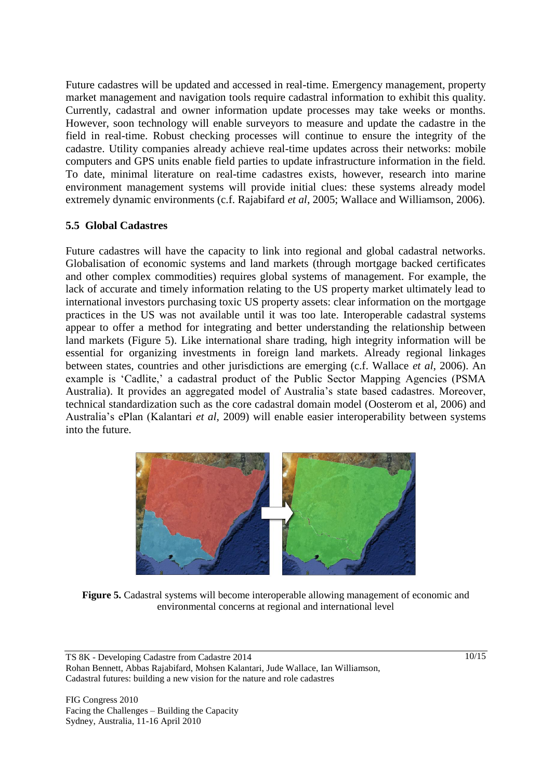Future cadastres will be updated and accessed in real-time. Emergency management, property market management and navigation tools require cadastral information to exhibit this quality. Currently, cadastral and owner information update processes may take weeks or months. However, soon technology will enable surveyors to measure and update the cadastre in the field in real-time. Robust checking processes will continue to ensure the integrity of the cadastre. Utility companies already achieve real-time updates across their networks: mobile computers and GPS units enable field parties to update infrastructure information in the field. To date, minimal literature on real-time cadastres exists, however, research into marine environment management systems will provide initial clues: these systems already model extremely dynamic environments (c.f. Rajabifard *et al*, 2005; Wallace and Williamson, 2006).

# **5.5 Global Cadastres**

Future cadastres will have the capacity to link into regional and global cadastral networks. Globalisation of economic systems and land markets (through mortgage backed certificates and other complex commodities) requires global systems of management. For example, the lack of accurate and timely information relating to the US property market ultimately lead to international investors purchasing toxic US property assets: clear information on the mortgage practices in the US was not available until it was too late. Interoperable cadastral systems appear to offer a method for integrating and better understanding the relationship between land markets (Figure 5). Like international share trading, high integrity information will be essential for organizing investments in foreign land markets. Already regional linkages between states, countries and other jurisdictions are emerging (c.f. Wallace *et al*, 2006). An example is 'Cadlite,' a cadastral product of the Public Sector Mapping Agencies (PSMA Australia). It provides an aggregated model of Australia's state based cadastres. Moreover, technical standardization such as the core cadastral domain model (Oosterom et al, 2006) and Australia's ePlan (Kalantari *et al*, 2009) will enable easier interoperability between systems into the future.



**Figure 5.** Cadastral systems will become interoperable allowing management of economic and environmental concerns at regional and international level

TS 8K - Developing Cadastre from Cadastre 2014 Rohan Bennett, Abbas Rajabifard, Mohsen Kalantari, Jude Wallace, Ian Williamson, Cadastral futures: building a new vision for the nature and role cadastres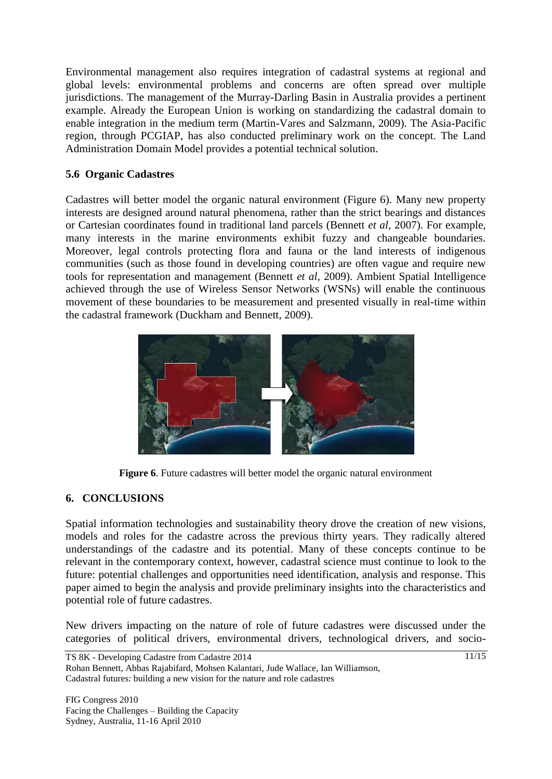Environmental management also requires integration of cadastral systems at regional and global levels: environmental problems and concerns are often spread over multiple jurisdictions. The management of the Murray-Darling Basin in Australia provides a pertinent example. Already the European Union is working on standardizing the cadastral domain to enable integration in the medium term (Martin-Vares and Salzmann, 2009). The Asia-Pacific region, through PCGIAP, has also conducted preliminary work on the concept. The Land Administration Domain Model provides a potential technical solution.

# **5.6 Organic Cadastres**

Cadastres will better model the organic natural environment (Figure 6). Many new property interests are designed around natural phenomena, rather than the strict bearings and distances or Cartesian coordinates found in traditional land parcels (Bennett *et al*, 2007). For example, many interests in the marine environments exhibit fuzzy and changeable boundaries. Moreover, legal controls protecting flora and fauna or the land interests of indigenous communities (such as those found in developing countries) are often vague and require new tools for representation and management (Bennett *et al*, 2009). Ambient Spatial Intelligence achieved through the use of Wireless Sensor Networks (WSNs) will enable the continuous movement of these boundaries to be measurement and presented visually in real-time within the cadastral framework (Duckham and Bennett, 2009).



**Figure 6**. Future cadastres will better model the organic natural environment

# **6. CONCLUSIONS**

Spatial information technologies and sustainability theory drove the creation of new visions, models and roles for the cadastre across the previous thirty years. They radically altered understandings of the cadastre and its potential. Many of these concepts continue to be relevant in the contemporary context, however, cadastral science must continue to look to the future: potential challenges and opportunities need identification, analysis and response. This paper aimed to begin the analysis and provide preliminary insights into the characteristics and potential role of future cadastres.

New drivers impacting on the nature of role of future cadastres were discussed under the categories of political drivers, environmental drivers, technological drivers, and socio-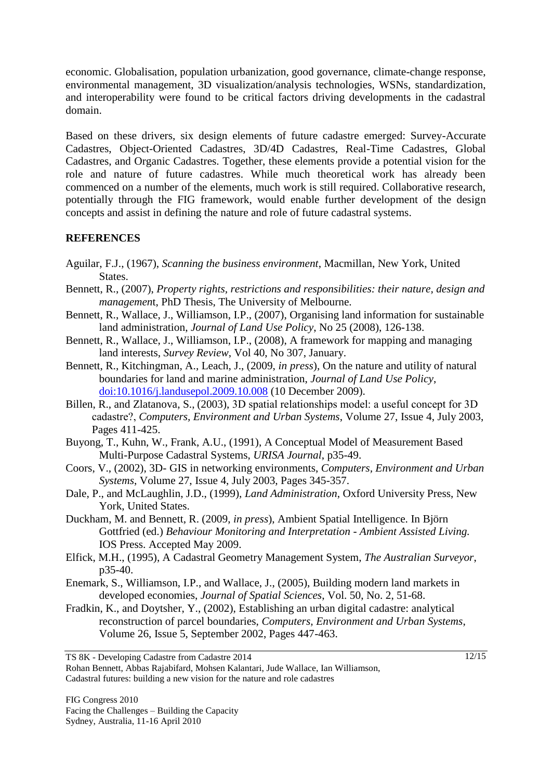economic. Globalisation, population urbanization, good governance, climate-change response, environmental management, 3D visualization/analysis technologies, WSNs, standardization, and interoperability were found to be critical factors driving developments in the cadastral domain.

Based on these drivers, six design elements of future cadastre emerged: Survey-Accurate Cadastres, Object-Oriented Cadastres, 3D/4D Cadastres, Real-Time Cadastres, Global Cadastres, and Organic Cadastres. Together, these elements provide a potential vision for the role and nature of future cadastres. While much theoretical work has already been commenced on a number of the elements, much work is still required. Collaborative research, potentially through the FIG framework, would enable further development of the design concepts and assist in defining the nature and role of future cadastral systems.

# **REFERENCES**

- Aguilar, F.J., (1967), *Scanning the business environment*, Macmillan, New York, United States.
- Bennett, R., (2007), *Property rights, restrictions and responsibilities: their nature, design and managemen*t, PhD Thesis, The University of Melbourne.
- Bennett, R., Wallace, J., Williamson, I.P., (2007), Organising land information for sustainable land administration, *Journal of Land Use Policy*, No 25 (2008), 126-138.
- Bennett, R., Wallace, J., Williamson, I.P., (2008), A framework for mapping and managing land interests, *Survey Review*, Vol 40, No 307, January.
- Bennett, R., Kitchingman, A., Leach, J., (2009, *in press*), On the nature and utility of natural boundaries for land and marine administration, *Journal of Land Use Policy*, [doi:10.1016/j.landusepol.2009.10.008](http://dx.doi.org/10.1016/j.landusepol.2009.10.008) (10 December 2009).
- Billen, R., and Zlatanova, S., (2003), 3D spatial relationships model: a useful concept for 3D cadastre?, *Computers, Environment and Urban Systems*, Volume 27, Issue 4, July 2003, Pages 411-425.
- Buyong, T., Kuhn, W., Frank, A.U., (1991), A Conceptual Model of Measurement Based Multi-Purpose Cadastral Systems, *URISA Journal*, p35-49.
- Coors, V., (2002), 3D- GIS in networking environments, *Computers, Environment and Urban Systems*, Volume 27, Issue 4, July 2003, Pages 345-357.
- Dale, P., and McLaughlin, J.D., (1999), *Land Administration*, Oxford University Press, New York, United States.
- Duckham, M. and Bennett, R. (2009, *in press*), Ambient Spatial Intelligence. In Björn Gottfried (ed.) *Behaviour Monitoring and Interpretation - Ambient Assisted Living.*  IOS Press. Accepted May 2009.
- Elfick, M.H., (1995), A Cadastral Geometry Management System, *The Australian Surveyor*, p35-40.
- Enemark, S., Williamson, I.P., and Wallace, J., (2005), Building modern land markets in developed economies, *Journal of Spatial Sciences*, Vol. 50, No. 2, 51-68.
- Fradkin, K., and Doytsher, Y., (2002), Establishing an urban digital cadastre: analytical reconstruction of parcel boundaries, *Computers, Environment and Urban Systems*, Volume 26, Issue 5, September 2002, Pages 447-463.

TS 8K - Developing Cadastre from Cadastre 2014

Rohan Bennett, Abbas Rajabifard, Mohsen Kalantari, Jude Wallace, Ian Williamson, Cadastral futures: building a new vision for the nature and role cadastres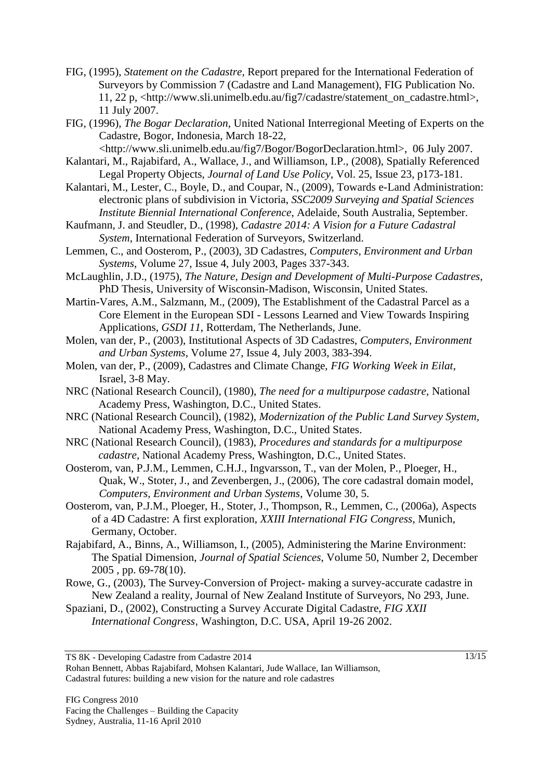- FIG, (1995), *Statement on the Cadastre,* Report prepared for the International Federation of Surveyors by Commission 7 (Cadastre and Land Management), FIG Publication No. 11, 22 p, <http://www.sli.unimelb.edu.au/fig7/cadastre/statement\_on\_cadastre.html>, 11 July 2007.
- FIG, (1996), *The Bogar Declaration*, United National Interregional Meeting of Experts on the Cadastre, Bogor, Indonesia, March 18-22,
- <http://www.sli.unimelb.edu.au/fig7/Bogor/BogorDeclaration.html>, 06 July 2007. Kalantari, M., Rajabifard, A., Wallace, J., and Williamson, I.P., (2008), Spatially Referenced
	- Legal Property Objects, *Journal of Land Use Policy*, Vol. 25, Issue 23, p173-181.
- Kalantari, M., Lester, C., Boyle, D., and Coupar, N., (2009), Towards e-Land Administration: electronic plans of subdivision in Victoria, *SSC2009 Surveying and Spatial Sciences Institute Biennial International Conference*, Adelaide, South Australia, September.
- Kaufmann, J. and Steudler, D., (1998), *Cadastre 2014: A Vision for a Future Cadastral System*, International Federation of Surveyors, Switzerland.
- Lemmen, C., and Oosterom, P., (2003), 3D Cadastres, *Computers, Environment and Urban Systems*, Volume 27, Issue 4, July 2003, Pages 337-343.
- McLaughlin, J.D., (1975), *The Nature, Design and Development of Multi-Purpose Cadastres*, PhD Thesis, University of Wisconsin-Madison, Wisconsin, United States.
- Martin-Vares, A.M., Salzmann, M., (2009), The Establishment of the Cadastral Parcel as a Core Element in the European SDI - Lessons Learned and View Towards Inspiring Applications, *GSDI 11*, Rotterdam, The Netherlands, June.
- Molen, van der, P., (2003), Institutional Aspects of 3D Cadastres, *Computers, Environment and Urban Systems*, Volume 27, Issue 4, July 2003, 383-394.
- Molen, van der, P., (2009), Cadastres and Climate Change, *FIG Working Week in Eilat*, Israel, 3-8 May.
- NRC (National Research Council), (1980), *The need for a multipurpose cadastre,* National Academy Press, Washington, D.C., United States.
- NRC (National Research Council), (1982), *Modernization of the Public Land Survey System,*  National Academy Press, Washington, D.C., United States.
- NRC (National Research Council), (1983), *Procedures and standards for a multipurpose cadastre,* National Academy Press, Washington, D.C., United States.
- Oosterom, van, P.J.M., Lemmen, C.H.J., Ingvarsson, T., van der Molen, P., Ploeger, H., Quak, W., Stoter, J., and Zevenbergen, J., (2006), The core cadastral domain model, *Computers, Environment and Urban Systems*, Volume 30, 5.
- Oosterom, van, P.J.M., Ploeger, H., Stoter, J., Thompson, R., Lemmen, C., (2006a), Aspects of a 4D Cadastre: A first exploration, *XXIII International FIG Congress*, Munich, Germany, October.
- Rajabifard, A., Binns, A., Williamson, I., (2005), Administering the Marine Environment: The Spatial Dimension, *Journal of Spatial Sciences*, Volume 50, Number 2, December 2005 , pp. 69-78(10).
- Rowe, G., (2003), The Survey-Conversion of Project- making a survey-accurate cadastre in New Zealand a reality, Journal of New Zealand Institute of Surveyors, No 293, June.
- Spaziani, D., (2002), Constructing a Survey Accurate Digital Cadastre, *FIG XXII International Congress*, Washington, D.C. USA, April 19-26 2002.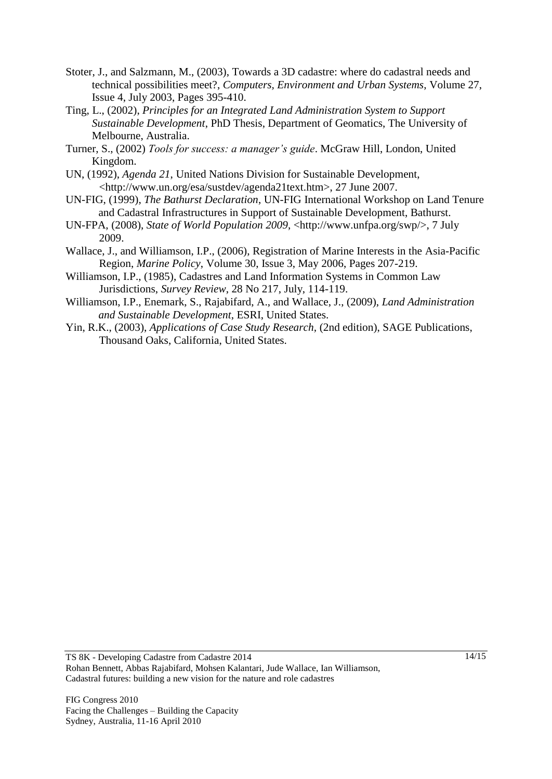- Stoter, J., and Salzmann, M., (2003), Towards a 3D cadastre: where do cadastral needs and technical possibilities meet?, *Computers, Environment and Urban Systems*, Volume 27, Issue 4, July 2003, Pages 395-410.
- Ting, L., (2002), *Principles for an Integrated Land Administration System to Support Sustainable Development*, PhD Thesis, Department of Geomatics, The University of Melbourne, Australia.
- Turner, S., (2002) *Tools for success: a manager's guide*. McGraw Hill, London, United Kingdom.
- UN, (1992), *Agenda 21*, United Nations Division for Sustainable Development, <http://www.un.org/esa/sustdev/agenda21text.htm>, 27 June 2007.
- UN-FIG, (1999), *The Bathurst Declaration*, UN-FIG International Workshop on Land Tenure and Cadastral Infrastructures in Support of Sustainable Development, Bathurst.
- UN-FPA, (2008), *State of World Population 2009*, <http://www.unfpa.org/swp/>, 7 July 2009.
- Wallace, J., and Williamson, I.P., (2006), Registration of Marine Interests in the Asia-Pacific Region, *Marine Policy*, Volume 30, Issue 3, May 2006, Pages 207-219.
- Williamson, I.P., (1985), Cadastres and Land Information Systems in Common Law Jurisdictions, *Survey Review*, 28 No 217, July, 114-119.
- Williamson, I.P., Enemark, S., Rajabifard, A., and Wallace, J., (2009), *Land Administration and Sustainable Development*, ESRI, United States.
- Yin, R.K., (2003), *Applications of Case Study Research,* (2nd edition), SAGE Publications, Thousand Oaks, California, United States.